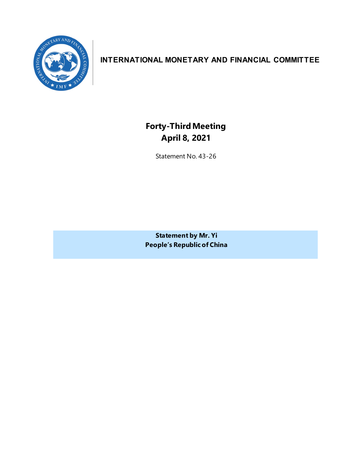

# **INTERNATIONAL MONETARY AND FINANCIAL COMMITTEE**

**Forty-ThirdMeeting April 8, 2021**

Statement No. 43-26

**Statement by Mr. Yi People's Republic of China**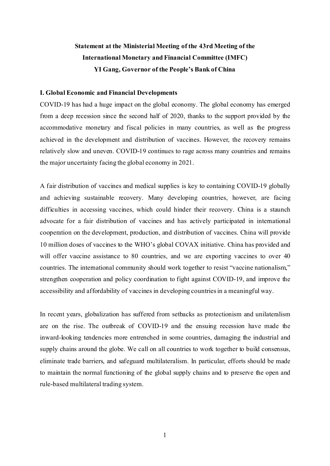# **Statement at the Ministerial Meeting of the 43rd Meeting of the International Monetary and Financial Committee (IMFC) YI Gang, Governor of the People's Bank of China**

## **I. Global Economic and Financial Developments**

COVID-19 has had a huge impact on the global economy. The global economy has emerged from a deep recession since the second half of 2020, thanks to the support provided by the accommodative monetary and fiscal policies in many countries, as well as the progress achieved in the development and distribution of vaccines. However, the recovery remains relatively slow and uneven. COVID-19 continues to rage across many countries and remains the major uncertainty facing the global economy in 2021.

A fair distribution of vaccines and medical supplies is key to containing COVID-19 globally and achieving sustainable recovery. Many developing countries, however, are facing difficulties in accessing vaccines, which could hinder their recovery. China is a staunch advocate for a fair distribution of vaccines and has actively participated in international cooperation on the development, production, and distribution of vaccines. China will provide 10 million doses of vaccines to the WHO's global COVAX initiative. China has provided and will offer vaccine assistance to 80 countries, and we are exporting vaccines to over 40 countries. The international community should work together to resist "vaccine nationalism," strengthen cooperation and policy coordination to fight against COVID-19, and improve the accessibility and affordability of vaccines in developing countries in a meaningful way.

In recent years, globalization has suffered from setbacks as protectionism and unilateralism are on the rise. The outbreak of COVID-19 and the ensuing recession have made the inward-looking tendencies more entrenched in some countries, damaging the industrial and supply chains around the globe. We call on all countries to work together to build consensus, eliminate trade barriers, and safeguard multilateralism. In particular, efforts should be made to maintain the normal functioning of the global supply chains and to preserve the open and rule-based multilateral trading system.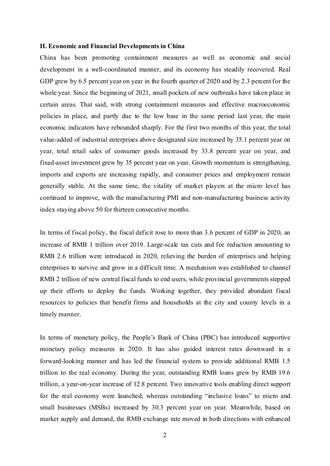### **II. Economic and Financial Developments in China**

China has been promoting containment measures as well as economic and social development in a well-coordinated manner, and its economy has steadily recovered. Real GDP grew by 6.5 percent year on year in the fourth quarter of 2020 and by 2.3 percent for the whole year. Since the beginning of 2021, small pockets of new outbreaks have taken place in certain areas. That said, with strong containment measures and effective macroeconomic policies in place, and partly due to the low base in the same period last year, the main economic indicators have rebounded sharply. For the first two months of this year, the total value-added of industrial enterprises above designated size increased by 35.1 percent year on year, total retail sales of consumer goods increased by 33.8 percent year on year, and fixed-asset investment grew by 35 percent year on year. Growth momentum is strengthening, imports and exports are increasing rapidly, and consumer prices and employment remain generally stable. At the same time, the vitality of market players at the micro level has continued to improve, with the manufacturing PMI and non-manufacturing business activity index staying above 50 for thirteen consecutive months.

In terms of fiscal policy, the fiscal deficit rose to more than 3.6 percent of GDP in 2020, an increase of RMB 1 trillion over 2019. Large-scale tax cuts and fee reduction amounting to RMB 2.6 trillion were introduced in 2020, relieving the burden of enterprises and helping enterprises to survive and grow in a difficult time. A mechanism was established to channel RMB 2 trillion of new central fiscal funds to end users, while provincial governments stepped up their efforts to deploy the funds. Working together, they provided abundant fiscal resources to policies that benefit firms and households at the city and county levels in a timely manner.

In terms of monetary policy, the People's Bank of China (PBC) has introduced supportive monetary policy measures in 2020. It has also guided interest rates downward in a forward-looking manner and has led the financial system to provide additional RMB 1.5 trillion to the real economy. During the year, outstanding RMB loans grew by RMB 19.6 trillion, a year-on-year increase of 12.8 percent. Two innovative tools enabling direct support for the real economy were launched, whereas outstanding "inclusive loans" to micro and small businesses (MSBs) increased by 30.3 percent year on year. Meanwhile, based on market supply and demand, the RMB exchange rate moved in both directions with enhanced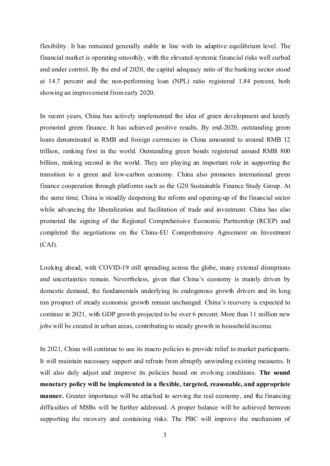flexibility. It has remained generally stable in line with its adaptive equilibrium level. The financial market is operating smoothly, with the elevated systemic financial risks well curbed and under control. By the end of 2020, the capital adequacy ratio of the banking sector stood at 14.7 percent and the non-performing loan (NPL) ratio registered 1.84 percent, both showing an improvement from early 2020.

In recent years, China has actively implemented the idea of green development and keenly promoted green finance. It has achieved positive results. By end-2020, outstanding green loans denominated in RMB and foreign currencies in China amounted to around RMB 12 trillion, ranking first in the world. Outstanding green bonds registered around RMB 800 billion, ranking second in the world. They are playing an important role in supporting the transition to a green and low-carbon economy. China also promotes international green finance cooperation through platforms such as the G20 Sustainable Finance Study Group. At the same time, China is steadily deepening the reform and opening-up of the financial sector while advancing the liberalization and facilitation of trade and investment. China has also promoted the signing of the Regional Comprehensive Economic Partnership (RCEP) and completed the negotiations on the China-EU Comprehensive Agreement on Investment (CAI).

Looking ahead, with COVID-19 still spreading across the globe, many external disruptions and uncertainties remain. Nevertheless, given that China's economy is mainly driven by domestic demand, the fundamentals underlying its endogenous growth drivers and its long run prospect of steady economic growth remain unchanged. China's recovery is expected to continue in 2021, with GDP growth projected to be over 6 percent. More than 11 million new jobs will be created in urban areas, contributing to steady growth in household income.

In 2021, China will continue to use its macro policies to provide relief to market participants. It will maintain necessary support and refrain from abruptly unwinding existing measures. It will also duly adjust and improve its policies based on evolving conditions. **The sound monetary policy will be implemented in a flexible, targeted, reasonable, and appropriate manner.** Greater importance will be attached to serving the real economy, and the financing difficulties of MSBs will be further addressed. A proper balance will be achieved between supporting the recovery and containing risks. The PBC will improve the mechanism of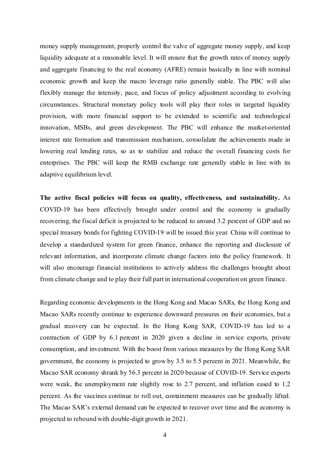money supply management, properly control the valve of aggregate money supply, and keep liquidity adequate at a reasonable level. It will ensure that the growth rates of money supply and aggregate financing to the real economy (AFRE) remain basically in line with nominal economic growth and keep the macro leverage ratio generally stable. The PBC will also flexibly manage the intensity, pace, and focus of policy adjustment according to evolving circumstances. Structural monetary policy tools will play their roles in targeted liquidity provision, with more financial support to be extended to scientific and technological innovation, MSBs, and green development. The PBC will enhance the market-oriented interest rate formation and transmission mechanism, consolidate the achievements made in lowering real lending rates, so as to stabilize and reduce the overall financing costs for enterprises. The PBC will keep the RMB exchange rate generally stable in line with its adaptive equilibrium level.

**The active fiscal policies will focus on quality, effectiveness, and sustainability.** As COVID-19 has been effectively brought under control and the economy is gradually recovering, the fiscal deficit is projected to be reduced to around 3.2 percent of GDP and no special treasury bonds for fighting COVID-19 will be issued this year. China will continue to develop a standardized system for green finance, enhance the reporting and disclosure of relevant information, and incorporate climate change factors into the policy framework. It will also encourage financial institutions to actively address the challenges brought about from climate change and to play their full part in international cooperation on green finance.

Regarding economic developments in the Hong Kong and Macao SARs, the Hong Kong and Macao SARs recently continue to experience downward pressures on their economies, but a gradual recovery can be expected. In the Hong Kong SAR, COVID-19 has led to a contraction of GDP by 6.1 percent in 2020 given a decline in service exports, private consumption, and investment. With the boost from various measures by the Hong Kong SAR government, the economy is projected to grow by 3.5 to 5.5 percent in 2021. Meanwhile, the Macao SAR economy shrank by 56.3 percent in 2020 because of COVID-19. Service exports were weak, the unemployment rate slightly rose to 2.7 percent, and inflation eased to 1.2 percent. As the vaccines continue to roll out, containment measures can be gradually lifted. The Macao SAR's external demand can be expected to recover over time and the economy is projected to rebound with double-digit growth in 2021.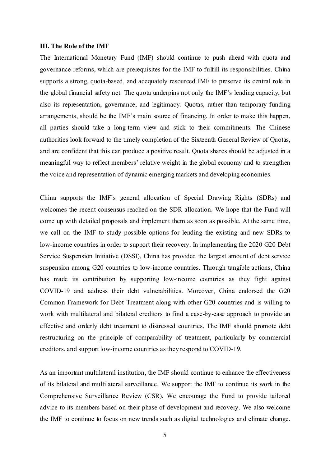#### **III. The Role of the IMF**

The International Monetary Fund (IMF) should continue to push ahead with quota and governance reforms, which are prerequisites for the IMF to fulfill its responsibilities. China supports a strong, quota-based, and adequately resourced IMF to preserve its central role in the global financial safety net. The quota underpins not only the IMF's lending capacity, but also its representation, governance, and legitimacy. Quotas, rather than temporary funding arrangements, should be the IMF's main source of financing. In order to make this happen, all parties should take a long-term view and stick to their commitments. The Chinese authorities look forward to the timely completion of the Sixteenth General Review of Quotas, and are confident that this can produce a positive result. Quota shares should be adjusted in a meaningful way to reflect members' relative weight in the global economy and to strengthen the voice and representation of dynamic emerging markets and developing economies.

China supports the IMF's general allocation of Special Drawing Rights (SDRs) and welcomes the recent consensus reached on the SDR allocation. We hope that the Fund will come up with detailed proposals and implement them as soon as possible. At the same time, we call on the IMF to study possible options for lending the existing and new SDRs to low-income countries in order to support their recovery. In implementing the 2020 G20 Debt Service Suspension Initiative (DSSI), China has provided the largest amount of debt service suspension among G20 countries to low-income countries. Through tangible actions, China has made its contribution by supporting low-income countries as they fight against COVID-19 and address their debt vulnerabilities. Moreover, China endorsed the G20 Common Framework for Debt Treatment along with other G20 countries and is willing to work with multilateral and bilateral creditors to find a case-by-case approach to provide an effective and orderly debt treatment to distressed countries. The IMF should promote debt restructuring on the principle of comparability of treatment, particularly by commercial creditors, and support low-income countries as they respond to COVID-19.

As an important multilateral institution, the IMF should continue to enhance the effectiveness of its bilateral and multilateral surveillance. We support the IMF to continue its work in the Comprehensive Surveillance Review (CSR). We encourage the Fund to provide tailored advice to its members based on their phase of development and recovery. We also welcome the IMF to continue to focus on new trends such as digital technologies and climate change.